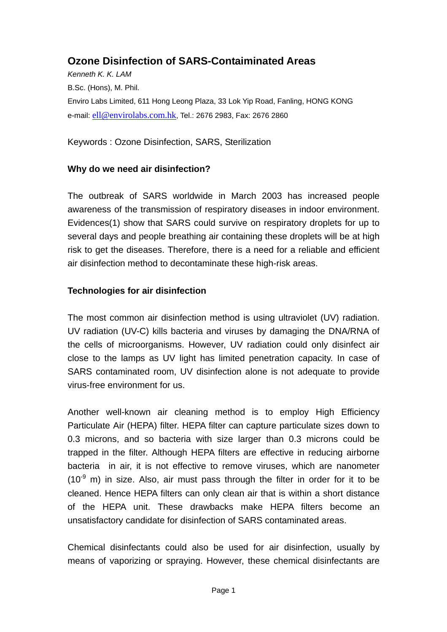# **Ozone Disinfection of SARS-Contaiminated Areas**

*Kenneth K. K. LAM*  B.Sc. (Hons), M. Phil. Enviro Labs Limited, 611 Hong Leong Plaza, 33 Lok Yip Road, Fanling, HONG KONG e-mail: [ell@envirolabs.com.hk](mailto:ell@envirolabs.com.hk), Tel.: 2676 2983, Fax: 2676 2860

Keywords : Ozone Disinfection, SARS, Sterilization

# **Why do we need air disinfection?**

The outbreak of SARS worldwide in March 2003 has increased people awareness of the transmission of respiratory diseases in indoor environment. Evidences(1) show that SARS could survive on respiratory droplets for up to several days and people breathing air containing these droplets will be at high risk to get the diseases. Therefore, there is a need for a reliable and efficient air disinfection method to decontaminate these high-risk areas.

# **Technologies for air disinfection**

The most common air disinfection method is using ultraviolet (UV) radiation. UV radiation (UV-C) kills bacteria and viruses by damaging the DNA/RNA of the cells of microorganisms. However, UV radiation could only disinfect air close to the lamps as UV light has limited penetration capacity. In case of SARS contaminated room, UV disinfection alone is not adequate to provide virus-free environment for us.

Another well-known air cleaning method is to employ High Efficiency Particulate Air (HEPA) filter. HEPA filter can capture particulate sizes down to 0.3 microns, and so bacteria with size larger than 0.3 microns could be trapped in the filter. Although HEPA filters are effective in reducing airborne bacteria in air, it is not effective to remove viruses, which are nanometer  $(10<sup>-9</sup>$  m) in size. Also, air must pass through the filter in order for it to be cleaned. Hence HEPA filters can only clean air that is within a short distance of the HEPA unit. These drawbacks make HEPA filters become an unsatisfactory candidate for disinfection of SARS contaminated areas.

Chemical disinfectants could also be used for air disinfection, usually by means of vaporizing or spraying. However, these chemical disinfectants are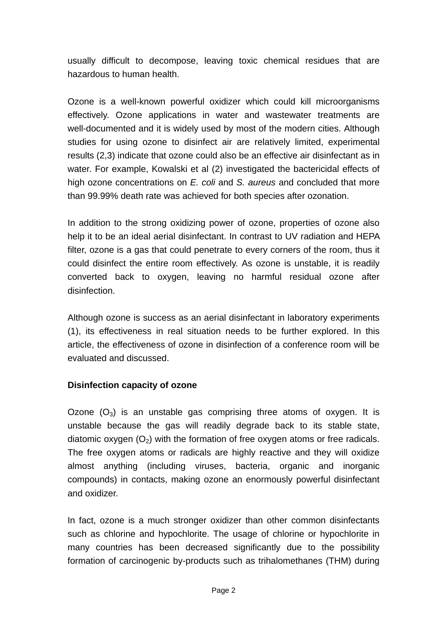usually difficult to decompose, leaving toxic chemical residues that are hazardous to human health.

Ozone is a well-known powerful oxidizer which could kill microorganisms effectively. Ozone applications in water and wastewater treatments are well-documented and it is widely used by most of the modern cities. Although studies for using ozone to disinfect air are relatively limited, experimental results (2,3) indicate that ozone could also be an effective air disinfectant as in water. For example, Kowalski et al (2) investigated the bactericidal effects of high ozone concentrations on *E. coli* and *S. aureus* and concluded that more than 99.99% death rate was achieved for both species after ozonation.

In addition to the strong oxidizing power of ozone, properties of ozone also help it to be an ideal aerial disinfectant. In contrast to UV radiation and HEPA filter, ozone is a gas that could penetrate to every corners of the room, thus it could disinfect the entire room effectively. As ozone is unstable, it is readily converted back to oxygen, leaving no harmful residual ozone after disinfection.

Although ozone is success as an aerial disinfectant in laboratory experiments (1), its effectiveness in real situation needs to be further explored. In this article, the effectiveness of ozone in disinfection of a conference room will be evaluated and discussed.

#### **Disinfection capacity of ozone**

Ozone  $(O_3)$  is an unstable gas comprising three atoms of oxygen. It is unstable because the gas will readily degrade back to its stable state, diatomic oxygen  $(O_2)$  with the formation of free oxygen atoms or free radicals. The free oxygen atoms or radicals are highly reactive and they will oxidize almost anything (including viruses, bacteria, organic and inorganic compounds) in contacts, making ozone an enormously powerful disinfectant and oxidizer.

In fact, ozone is a much stronger oxidizer than other common disinfectants such as chlorine and hypochlorite. The usage of chlorine or hypochlorite in many countries has been decreased significantly due to the possibility formation of carcinogenic by-products such as trihalomethanes (THM) during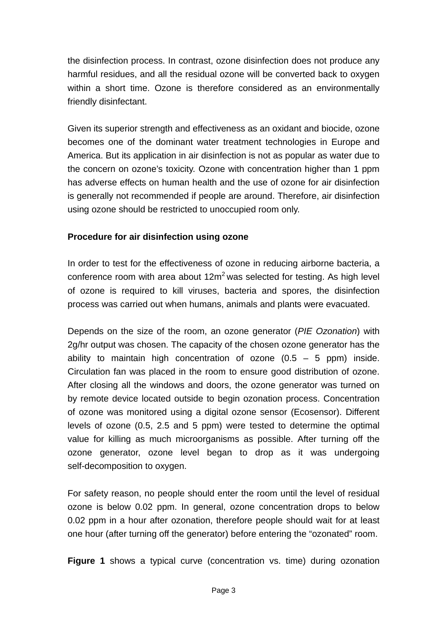the disinfection process. In contrast, ozone disinfection does not produce any harmful residues, and all the residual ozone will be converted back to oxygen within a short time. Ozone is therefore considered as an environmentally friendly disinfectant.

Given its superior strength and effectiveness as an oxidant and biocide, ozone becomes one of the dominant water treatment technologies in Europe and America. But its application in air disinfection is not as popular as water due to the concern on ozone's toxicity. Ozone with concentration higher than 1 ppm has adverse effects on human health and the use of ozone for air disinfection is generally not recommended if people are around. Therefore, air disinfection using ozone should be restricted to unoccupied room only.

#### **Procedure for air disinfection using ozone**

In order to test for the effectiveness of ozone in reducing airborne bacteria, a conference room with area about  $12m^2$  was selected for testing. As high level of ozone is required to kill viruses, bacteria and spores, the disinfection process was carried out when humans, animals and plants were evacuated.

Depends on the size of the room, an ozone generator (*PIE Ozonation*) with 2g/hr output was chosen. The capacity of the chosen ozone generator has the ability to maintain high concentration of ozone  $(0.5 - 5$  ppm) inside. Circulation fan was placed in the room to ensure good distribution of ozone. After closing all the windows and doors, the ozone generator was turned on by remote device located outside to begin ozonation process. Concentration of ozone was monitored using a digital ozone sensor (Ecosensor). Different levels of ozone (0.5, 2.5 and 5 ppm) were tested to determine the optimal value for killing as much microorganisms as possible. After turning off the ozone generator, ozone level began to drop as it was undergoing self-decomposition to oxygen.

For safety reason, no people should enter the room until the level of residual ozone is below 0.02 ppm. In general, ozone concentration drops to below 0.02 ppm in a hour after ozonation, therefore people should wait for at least one hour (after turning off the generator) before entering the "ozonated" room.

**Figure 1** shows a typical curve (concentration vs. time) during ozonation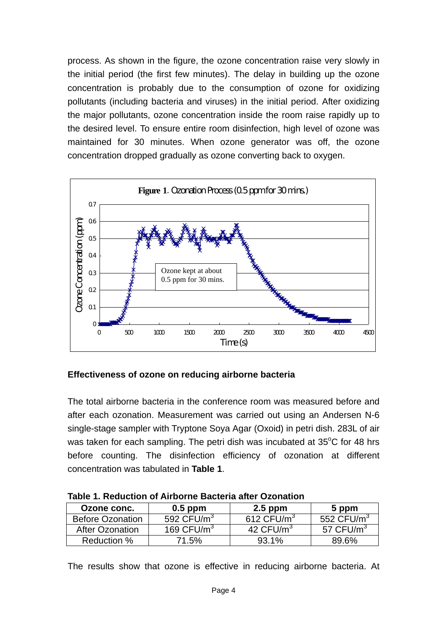process. As shown in the figure, the ozone concentration raise very slowly in the initial period (the first few minutes). The delay in building up the ozone concentration is probably due to the consumption of ozone for oxidizing pollutants (including bacteria and viruses) in the initial period. After oxidizing the major pollutants, ozone concentration inside the room raise rapidly up to the desired level. To ensure entire room disinfection, high level of ozone was maintained for 30 minutes. When ozone generator was off, the ozone concentration dropped gradually as ozone converting back to oxygen.



# **Effectiveness of ozone on reducing airborne bacteria**

The total airborne bacteria in the conference room was measured before and after each ozonation. Measurement was carried out using an Andersen N-6 single-stage sampler with Tryptone Soya Agar (Oxoid) in petri dish. 283L of air was taken for each sampling. The petri dish was incubated at  $35^{\circ}$ C for 48 hrs before counting. The disinfection efficiency of ozonation at different concentration was tabulated in **Table 1**.

| Ozone conc.             | $0.5$ ppm    | $2.5$ ppm    | 5 ppm        |
|-------------------------|--------------|--------------|--------------|
| <b>Before Ozonation</b> | 592 $CFU/m3$ | 612 $CFU/m3$ | 552 $CFU/m3$ |
| After Ozonation         | 169 $CFU/m3$ | 42 $CFU/m3$  | 57 $CFU/m3$  |
| Reduction %             | 71.5%        | $93.1\%$     | 89.6%        |

**Table 1. Reduction of Airborne Bacteria after Ozonation** 

The results show that ozone is effective in reducing airborne bacteria. At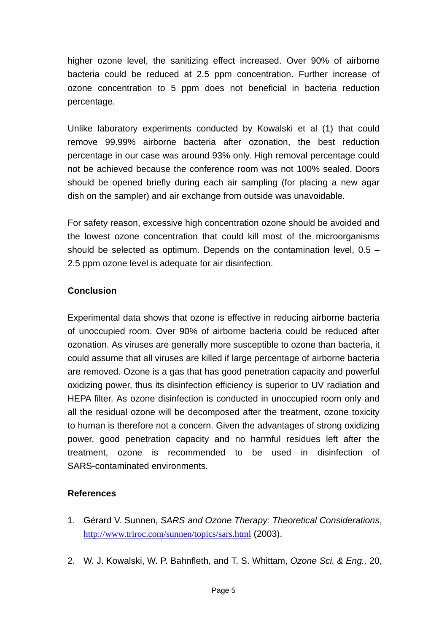higher ozone level, the sanitizing effect increased. Over 90% of airborne bacteria could be reduced at 2.5 ppm concentration. Further increase of ozone concentration to 5 ppm does not beneficial in bacteria reduction percentage.

Unlike laboratory experiments conducted by Kowalski et al (1) that could remove 99.99% airborne bacteria after ozonation, the best reduction percentage in our case was around 93% only. High removal percentage could not be achieved because the conference room was not 100% sealed. Doors should be opened briefly during each air sampling (for placing a new agar dish on the sampler) and air exchange from outside was unavoidable.

For safety reason, excessive high concentration ozone should be avoided and the lowest ozone concentration that could kill most of the microorganisms should be selected as optimum. Depends on the contamination level, 0.5 – 2.5 ppm ozone level is adequate for air disinfection.

# **Conclusion**

Experimental data shows that ozone is effective in reducing airborne bacteria of unoccupied room. Over 90% of airborne bacteria could be reduced after ozonation. As viruses are generally more susceptible to ozone than bacteria, it could assume that all viruses are killed if large percentage of airborne bacteria are removed. Ozone is a gas that has good penetration capacity and powerful oxidizing power, thus its disinfection efficiency is superior to UV radiation and HEPA filter. As ozone disinfection is conducted in unoccupied room only and all the residual ozone will be decomposed after the treatment, ozone toxicity to human is therefore not a concern. Given the advantages of strong oxidizing power, good penetration capacity and no harmful residues left after the treatment, ozone is recommended to be used in disinfection of SARS-contaminated environments.

#### **References**

- 1. Gérard V. Sunnen, *SARS and Ozone Therapy: Theoretical Considerations*, <http://www.triroc.com/sunnen/topics/sars.html> (2003).
- 2. W. J. Kowalski, W. P. Bahnfleth, and T. S. Whittam, *Ozone Sci. & Eng.,* 20,